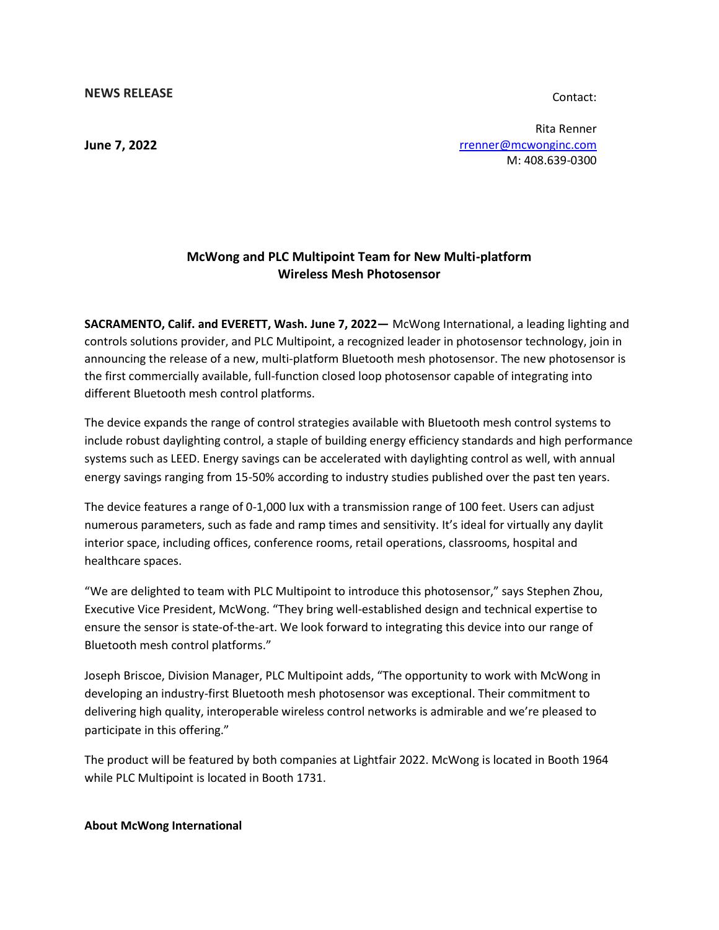**NEWS RELEASE**

Contact:

**June 7, 2022**

Rita Renner [rrenner@mcwonginc.com](mailto:rrenner@mcwonginc.com) M: 408.639-0300

## **McWong and PLC Multipoint Team for New Multi-platform Wireless Mesh Photosensor**

**SACRAMENTO, Calif. and EVERETT, Wash. June 7, 2022—** McWong International, a leading lighting and controls solutions provider, and PLC Multipoint, a recognized leader in photosensor technology, join in announcing the release of a new, multi-platform Bluetooth mesh photosensor. The new photosensor is the first commercially available, full-function closed loop photosensor capable of integrating into different Bluetooth mesh control platforms.

The device expands the range of control strategies available with Bluetooth mesh control systems to include robust daylighting control, a staple of building energy efficiency standards and high performance systems such as LEED. Energy savings can be accelerated with daylighting control as well, with annual energy savings ranging from 15-50% according to industry studies published over the past ten years.

The device features a range of 0-1,000 lux with a transmission range of 100 feet. Users can adjust numerous parameters, such as fade and ramp times and sensitivity. It's ideal for virtually any daylit interior space, including offices, conference rooms, retail operations, classrooms, hospital and healthcare spaces.

"We are delighted to team with PLC Multipoint to introduce this photosensor," says Stephen Zhou, Executive Vice President, McWong. "They bring well-established design and technical expertise to ensure the sensor is state-of-the-art. We look forward to integrating this device into our range of Bluetooth mesh control platforms."

Joseph Briscoe, Division Manager, PLC Multipoint adds, "The opportunity to work with McWong in developing an industry-first Bluetooth mesh photosensor was exceptional. Their commitment to delivering high quality, interoperable wireless control networks is admirable and we're pleased to participate in this offering."

The product will be featured by both companies at Lightfair 2022. McWong is located in Booth 1964 while PLC Multipoint is located in Booth 1731.

## **About McWong International**